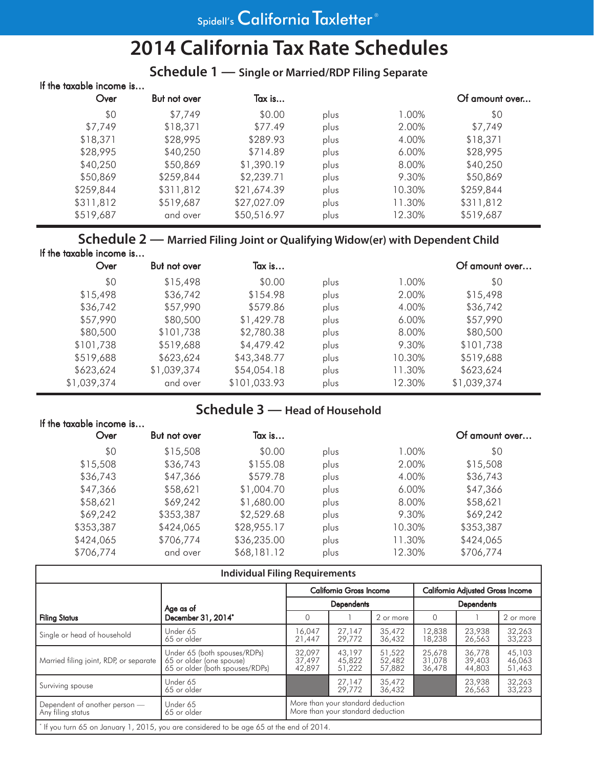# **2014 California Tax Rate Schedules**

# **Schedule 1 — Single or Married/RDP Filing Separate**

| If the taxable income is<br>Over | But not over | Tax is      |      |          | Of amount over |
|----------------------------------|--------------|-------------|------|----------|----------------|
| \$0                              | \$7,749      | \$0.00      | plus | 1.00%    | \$0            |
| \$7,749                          | \$18,371     | \$77.49     | plus | 2.00%    | \$7,749        |
| \$18,371                         | \$28,995     | \$289.93    | plus | 4.00%    | \$18,371       |
| \$28,995                         | \$40,250     | \$714.89    | plus | $6.00\%$ | \$28,995       |
| \$40,250                         | \$50,869     | \$1,390.19  | plus | 8.00%    | \$40,250       |
| \$50,869                         | \$259,844    | \$2,239.71  | plus | 9.30%    | \$50,869       |
| \$259,844                        | \$311,812    | \$21,674.39 | plus | 10.30%   | \$259,844      |
| \$311,812                        | \$519,687    | \$27,027.09 | plus | 11.30%   | \$311,812      |
| \$519,687                        | and over     | \$50,516.97 | plus | 12.30%   | \$519,687      |
|                                  |              |             |      |          |                |

# **Schedule 2 — Married Filing Joint or Qualifying Widow(er) with Dependent Child** If the taxable income is…

| Over        | But not over | Tax is       |      |        | Of amount over |
|-------------|--------------|--------------|------|--------|----------------|
| \$0         | \$15,498     | \$0.00       | plus | 1.00%  | \$0            |
| \$15,498    | \$36,742     | \$154.98     | plus | 2.00%  | \$15,498       |
| \$36,742    | \$57,990     | \$579.86     | plus | 4.00%  | \$36,742       |
| \$57,990    | \$80,500     | \$1,429.78   | plus | 6.00%  | \$57,990       |
| \$80,500    | \$101,738    | \$2,780.38   | plus | 8.00%  | \$80,500       |
| \$101,738   | \$519,688    | \$4,479.42   | plus | 9.30%  | \$101,738      |
| \$519,688   | \$623,624    | \$43,348.77  | plus | 10.30% | \$519,688      |
| \$623,624   | \$1,039,374  | \$54,054.18  | plus | 11.30% | \$623,624      |
| \$1,039,374 | and over     | \$101,033.93 | plus | 12.30% | \$1,039,374    |

# **Schedule 3 — Head of Household**

| If the taxable income is |              |             |      |        |                |
|--------------------------|--------------|-------------|------|--------|----------------|
| Over                     | But not over | Tax is      |      |        | Of amount over |
| \$0                      | \$15,508     | \$0.00      | plus | 1.00%  | \$0            |
| \$15,508                 | \$36,743     | \$155.08    | plus | 2.00%  | \$15,508       |
| \$36,743                 | \$47,366     | \$579.78    | plus | 4.00%  | \$36,743       |
| \$47,366                 | \$58,621     | \$1,004.70  | plus | 6.00%  | \$47,366       |
| \$58,621                 | \$69,242     | \$1,680.00  | plus | 8.00%  | \$58,621       |
| \$69,242                 | \$353,387    | \$2,529.68  | plus | 9.30%  | \$69,242       |
| \$353,387                | \$424,065    | \$28,955.17 | plus | 10.30% | \$353,387      |
| \$424,065                | \$706,774    | \$36,235.00 | plus | 11.30% | \$424,065      |
| \$706,774                | and over     | \$68,181.12 | plus | 12.30% | \$706,774      |

| <b>Individual Filing Requirements</b>                                                    |                                                                                             |                                                                        |                                |                            |                            |                                         |                            |  |
|------------------------------------------------------------------------------------------|---------------------------------------------------------------------------------------------|------------------------------------------------------------------------|--------------------------------|----------------------------|----------------------------|-----------------------------------------|----------------------------|--|
|                                                                                          |                                                                                             |                                                                        | <b>California Gross Income</b> |                            |                            | <b>California Adjusted Gross Income</b> |                            |  |
|                                                                                          | Age as of                                                                                   | <b>Dependents</b>                                                      |                                |                            | <b>Dependents</b>          |                                         |                            |  |
| <b>Filing Status</b>                                                                     | December 31, 2014*                                                                          | $\Omega$                                                               |                                | 2 or more                  | 0                          |                                         | 2 or more                  |  |
| Single or head of household                                                              | Under 65<br>65 or older                                                                     | 16.047<br>21,447                                                       | 27.147<br>29,772               | 35,472<br>36,432           | 12,838<br>18,238           | 23,938<br>26,563                        | 32,263<br>33,223           |  |
| Married filing joint, RDP, or separate                                                   | Under 65 (both spouses/RDPs)<br>65 or older (one spouse)<br>65 or older (both spouses/RDPs) | 32,097<br>37,497<br>42,897                                             | 43,197<br>45,822<br>51,222     | 51,522<br>52,482<br>57,882 | 25,678<br>31,078<br>36,478 | 36,778<br>39,403<br>44,803              | 45,103<br>46,063<br>51,463 |  |
| Surviving spouse                                                                         | Under 65<br>65 or older                                                                     |                                                                        | 27,147<br>29,772               | 35,472<br>36,432           |                            | 23,938<br>26,563                        | 32,263<br>33,223           |  |
| Dependent of another person -<br>Any filing status                                       | Under 65<br>65 or older                                                                     | More than your standard deduction<br>More than your standard deduction |                                |                            |                            |                                         |                            |  |
| * If you turn 65 on January 1, 2015, you are considered to be age 65 at the end of 2014. |                                                                                             |                                                                        |                                |                            |                            |                                         |                            |  |